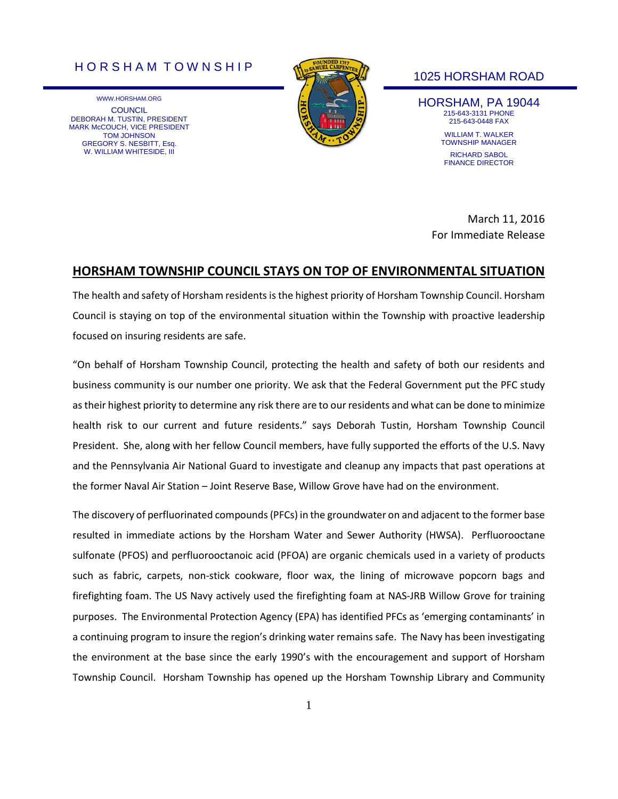## H O R S H A M T O W N S H I P

WWW.HORSHAM.ORG **COUNCIL** DEBORAH M. TUSTIN, PRESIDENT MARK McCOUCH, VICE PRESIDENT TOM JOHNSON GREGORY S. NESBITT, Esq. W. WILLIAM WHITESIDE, III



## 1025 HORSHAM ROAD

HORSHAM, PA 19044 215-643-3131 PHONE 215-643-0448 FAX WILLIAM T. WALKER TOWNSHIP MANAGER RICHARD SABOL FINANCE DIRECTOR

March 11, 2016 For Immediate Release

## **HORSHAM TOWNSHIP COUNCIL STAYS ON TOP OF ENVIRONMENTAL SITUATION**

The health and safety of Horsham residents is the highest priority of Horsham Township Council. Horsham Council is staying on top of the environmental situation within the Township with proactive leadership focused on insuring residents are safe.

"On behalf of Horsham Township Council, protecting the health and safety of both our residents and business community is our number one priority. We ask that the Federal Government put the PFC study as their highest priority to determine any risk there are to our residents and what can be done to minimize health risk to our current and future residents." says Deborah Tustin, Horsham Township Council President. She, along with her fellow Council members, have fully supported the efforts of the U.S. Navy and the Pennsylvania Air National Guard to investigate and cleanup any impacts that past operations at the former Naval Air Station – Joint Reserve Base, Willow Grove have had on the environment.

The discovery of perfluorinated compounds (PFCs) in the groundwater on and adjacent to the former base resulted in immediate actions by the Horsham Water and Sewer Authority (HWSA). Perfluorooctane sulfonate (PFOS) and perfluorooctanoic acid (PFOA) are organic chemicals used in a variety of products such as fabric, carpets, non-stick cookware, floor wax, the lining of microwave popcorn bags and firefighting foam. The US Navy actively used the firefighting foam at NAS-JRB Willow Grove for training purposes. The Environmental Protection Agency (EPA) has identified PFCs as 'emerging contaminants' in a continuing program to insure the region's drinking water remains safe. The Navy has been investigating the environment at the base since the early 1990's with the encouragement and support of Horsham Township Council. Horsham Township has opened up the Horsham Township Library and Community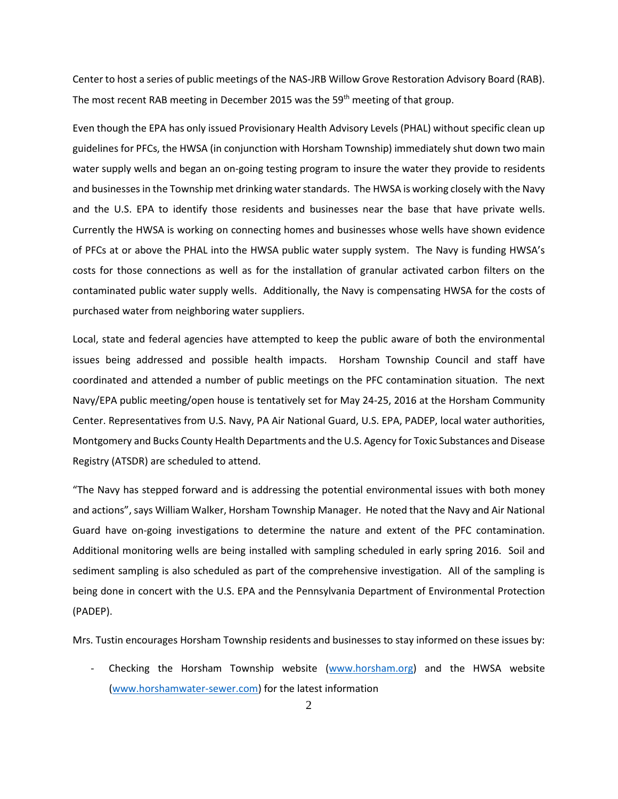Center to host a series of public meetings of the NAS-JRB Willow Grove Restoration Advisory Board (RAB). The most recent RAB meeting in December 2015 was the 59<sup>th</sup> meeting of that group.

Even though the EPA has only issued Provisionary Health Advisory Levels (PHAL) without specific clean up guidelines for PFCs, the HWSA (in conjunction with Horsham Township) immediately shut down two main water supply wells and began an on-going testing program to insure the water they provide to residents and businesses in the Township met drinking water standards. The HWSA is working closely with the Navy and the U.S. EPA to identify those residents and businesses near the base that have private wells. Currently the HWSA is working on connecting homes and businesses whose wells have shown evidence of PFCs at or above the PHAL into the HWSA public water supply system. The Navy is funding HWSA's costs for those connections as well as for the installation of granular activated carbon filters on the contaminated public water supply wells. Additionally, the Navy is compensating HWSA for the costs of purchased water from neighboring water suppliers.

Local, state and federal agencies have attempted to keep the public aware of both the environmental issues being addressed and possible health impacts. Horsham Township Council and staff have coordinated and attended a number of public meetings on the PFC contamination situation. The next Navy/EPA public meeting/open house is tentatively set for May 24-25, 2016 at the Horsham Community Center. Representatives from U.S. Navy, PA Air National Guard, U.S. EPA, PADEP, local water authorities, Montgomery and Bucks County Health Departments and the U.S. Agency for Toxic Substances and Disease Registry (ATSDR) are scheduled to attend.

"The Navy has stepped forward and is addressing the potential environmental issues with both money and actions", says William Walker, Horsham Township Manager. He noted that the Navy and Air National Guard have on-going investigations to determine the nature and extent of the PFC contamination. Additional monitoring wells are being installed with sampling scheduled in early spring 2016. Soil and sediment sampling is also scheduled as part of the comprehensive investigation. All of the sampling is being done in concert with the U.S. EPA and the Pennsylvania Department of Environmental Protection (PADEP).

Mrs. Tustin encourages Horsham Township residents and businesses to stay informed on these issues by:

Checking the Horsham Township website [\(www.horsham.org\)](http://www.horsham.org/) and the HWSA website [\(www.horshamwater-sewer.com\)](http://www.horshamwater-sewer.com/) for the latest information